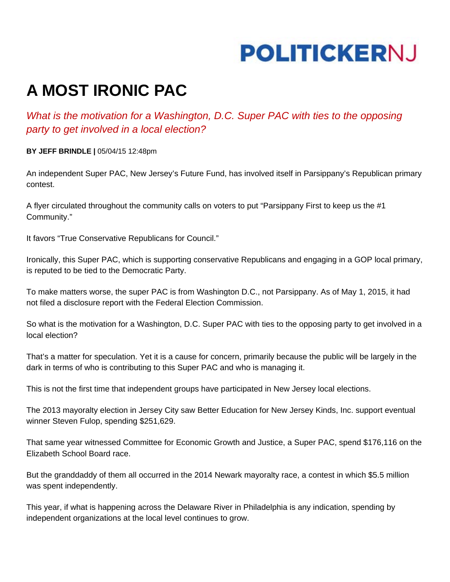## **POLITICKERNJ**

## **A MOST IRONIC PAC**

## *What is the motivation for a Washington, D.C. Super PAC with ties to the opposing party to get involved in a local election?*

**BY JEFF BRINDLE |** 05/04/15 12:48pm

An independent Super PAC, New Jersey's Future Fund, has involved itself in Parsippany's Republican primary contest.

A flyer circulated throughout the community calls on voters to put "Parsippany First to keep us the #1 Community."

It favors "True Conservative Republicans for Council."

Ironically, this Super PAC, which is supporting conservative Republicans and engaging in a GOP local primary, is reputed to be tied to the Democratic Party.

To make matters worse, the super PAC is from Washington D.C., not Parsippany. As of May 1, 2015, it had not filed a disclosure report with the Federal Election Commission.

So what is the motivation for a Washington, D.C. Super PAC with ties to the opposing party to get involved in a local election?

That's a matter for speculation. Yet it is a cause for concern, primarily because the public will be largely in the dark in terms of who is contributing to this Super PAC and who is managing it.

This is not the first time that independent groups have participated in New Jersey local elections.

The 2013 mayoralty election in Jersey City saw Better Education for New Jersey Kinds, Inc. support eventual winner Steven Fulop, spending \$251,629.

That same year witnessed Committee for Economic Growth and Justice, a Super PAC, spend \$176,116 on the Elizabeth School Board race.

But the granddaddy of them all occurred in the 2014 Newark mayoralty race, a contest in which \$5.5 million was spent independently.

This year, if what is happening across the Delaware River in Philadelphia is any indication, spending by independent organizations at the local level continues to grow.